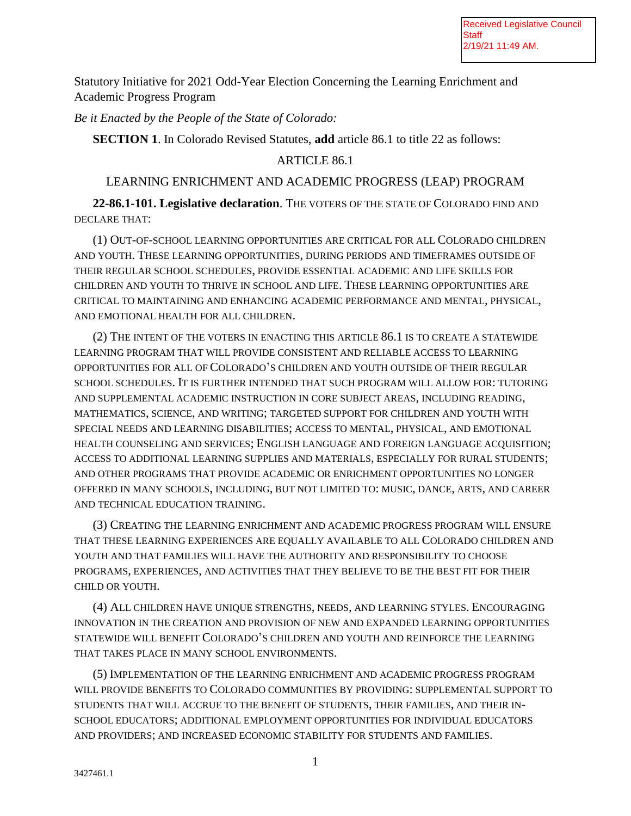Statutory Initiative for 2021 Odd-Year Election Concerning the Learning Enrichment and Academic Progress Program

*Be it Enacted by the People of the State of Colorado:* 

**SECTION 1**. In Colorado Revised Statutes, **add** article 86.1 to title 22 as follows:

## ARTICLE 86.1

## LEARNING ENRICHMENT AND ACADEMIC PROGRESS (LEAP) PROGRAM

**22-86.1-101. Legislative declaration**. THE VOTERS OF THE STATE OF COLORADO FIND AND DECLARE THAT:

(1) OUT-OF-SCHOOL LEARNING OPPORTUNITIES ARE CRITICAL FOR ALL COLORADO CHILDREN AND YOUTH. THESE LEARNING OPPORTUNITIES, DURING PERIODS AND TIMEFRAMES OUTSIDE OF THEIR REGULAR SCHOOL SCHEDULES, PROVIDE ESSENTIAL ACADEMIC AND LIFE SKILLS FOR CHILDREN AND YOUTH TO THRIVE IN SCHOOL AND LIFE. THESE LEARNING OPPORTUNITIES ARE CRITICAL TO MAINTAINING AND ENHANCING ACADEMIC PERFORMANCE AND MENTAL, PHYSICAL, AND EMOTIONAL HEALTH FOR ALL CHILDREN.

(2) THE INTENT OF THE VOTERS IN ENACTING THIS ARTICLE 86.1 IS TO CREATE A STATEWIDE LEARNING PROGRAM THAT WILL PROVIDE CONSISTENT AND RELIABLE ACCESS TO LEARNING OPPORTUNITIES FOR ALL OF COLORADO'S CHILDREN AND YOUTH OUTSIDE OF THEIR REGULAR SCHOOL SCHEDULES. IT IS FURTHER INTENDED THAT SUCH PROGRAM WILL ALLOW FOR: TUTORING AND SUPPLEMENTAL ACADEMIC INSTRUCTION IN CORE SUBJECT AREAS, INCLUDING READING, MATHEMATICS, SCIENCE, AND WRITING; TARGETED SUPPORT FOR CHILDREN AND YOUTH WITH SPECIAL NEEDS AND LEARNING DISABILITIES; ACCESS TO MENTAL, PHYSICAL, AND EMOTIONAL HEALTH COUNSELING AND SERVICES; ENGLISH LANGUAGE AND FOREIGN LANGUAGE ACQUISITION; ACCESS TO ADDITIONAL LEARNING SUPPLIES AND MATERIALS, ESPECIALLY FOR RURAL STUDENTS; AND OTHER PROGRAMS THAT PROVIDE ACADEMIC OR ENRICHMENT OPPORTUNITIES NO LONGER OFFERED IN MANY SCHOOLS, INCLUDING, BUT NOT LIMITED TO: MUSIC, DANCE, ARTS, AND CAREER AND TECHNICAL EDUCATION TRAINING.

(3) CREATING THE LEARNING ENRICHMENT AND ACADEMIC PROGRESS PROGRAM WILL ENSURE THAT THESE LEARNING EXPERIENCES ARE EQUALLY AVAILABLE TO ALL COLORADO CHILDREN AND YOUTH AND THAT FAMILIES WILL HAVE THE AUTHORITY AND RESPONSIBILITY TO CHOOSE PROGRAMS, EXPERIENCES, AND ACTIVITIES THAT THEY BELIEVE TO BE THE BEST FIT FOR THEIR CHILD OR YOUTH.

(4) ALL CHILDREN HAVE UNIQUE STRENGTHS, NEEDS, AND LEARNING STYLES. ENCOURAGING INNOVATION IN THE CREATION AND PROVISION OF NEW AND EXPANDED LEARNING OPPORTUNITIES STATEWIDE WILL BENEFIT COLORADO'S CHILDREN AND YOUTH AND REINFORCE THE LEARNING THAT TAKES PLACE IN MANY SCHOOL ENVIRONMENTS.

(5) IMPLEMENTATION OF THE LEARNING ENRICHMENT AND ACADEMIC PROGRESS PROGRAM WILL PROVIDE BENEFITS TO COLORADO COMMUNITIES BY PROVIDING: SUPPLEMENTAL SUPPORT TO STUDENTS THAT WILL ACCRUE TO THE BENEFIT OF STUDENTS, THEIR FAMILIES, AND THEIR IN-SCHOOL EDUCATORS; ADDITIONAL EMPLOYMENT OPPORTUNITIES FOR INDIVIDUAL EDUCATORS AND PROVIDERS; AND INCREASED ECONOMIC STABILITY FOR STUDENTS AND FAMILIES.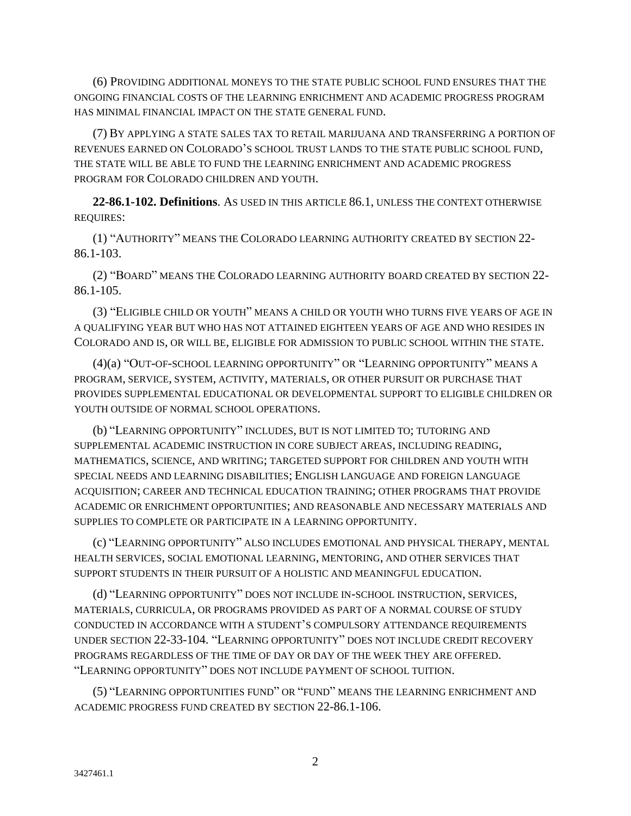(6) PROVIDING ADDITIONAL MONEYS TO THE STATE PUBLIC SCHOOL FUND ENSURES THAT THE ONGOING FINANCIAL COSTS OF THE LEARNING ENRICHMENT AND ACADEMIC PROGRESS PROGRAM HAS MINIMAL FINANCIAL IMPACT ON THE STATE GENERAL FUND.

(7) BY APPLYING A STATE SALES TAX TO RETAIL MARIJUANA AND TRANSFERRING A PORTION OF REVENUES EARNED ON COLORADO'S SCHOOL TRUST LANDS TO THE STATE PUBLIC SCHOOL FUND, THE STATE WILL BE ABLE TO FUND THE LEARNING ENRICHMENT AND ACADEMIC PROGRESS PROGRAM FOR COLORADO CHILDREN AND YOUTH.

**22-86.1-102. Definitions**. AS USED IN THIS ARTICLE 86.1, UNLESS THE CONTEXT OTHERWISE REQUIRES:

(1) "AUTHORITY" MEANS THE COLORADO LEARNING AUTHORITY CREATED BY SECTION 22- 86.1-103.

(2) "BOARD" MEANS THE COLORADO LEARNING AUTHORITY BOARD CREATED BY SECTION 22- 86.1-105.

(3) "ELIGIBLE CHILD OR YOUTH" MEANS A CHILD OR YOUTH WHO TURNS FIVE YEARS OF AGE IN A QUALIFYING YEAR BUT WHO HAS NOT ATTAINED EIGHTEEN YEARS OF AGE AND WHO RESIDES IN COLORADO AND IS, OR WILL BE, ELIGIBLE FOR ADMISSION TO PUBLIC SCHOOL WITHIN THE STATE.

(4)(a) "OUT-OF-SCHOOL LEARNING OPPORTUNITY" OR "LEARNING OPPORTUNITY" MEANS A PROGRAM, SERVICE, SYSTEM, ACTIVITY, MATERIALS, OR OTHER PURSUIT OR PURCHASE THAT PROVIDES SUPPLEMENTAL EDUCATIONAL OR DEVELOPMENTAL SUPPORT TO ELIGIBLE CHILDREN OR YOUTH OUTSIDE OF NORMAL SCHOOL OPERATIONS.

(b) "LEARNING OPPORTUNITY" INCLUDES, BUT IS NOT LIMITED TO; TUTORING AND SUPPLEMENTAL ACADEMIC INSTRUCTION IN CORE SUBJECT AREAS, INCLUDING READING, MATHEMATICS, SCIENCE, AND WRITING; TARGETED SUPPORT FOR CHILDREN AND YOUTH WITH SPECIAL NEEDS AND LEARNING DISABILITIES; ENGLISH LANGUAGE AND FOREIGN LANGUAGE ACQUISITION; CAREER AND TECHNICAL EDUCATION TRAINING; OTHER PROGRAMS THAT PROVIDE ACADEMIC OR ENRICHMENT OPPORTUNITIES; AND REASONABLE AND NECESSARY MATERIALS AND SUPPLIES TO COMPLETE OR PARTICIPATE IN A LEARNING OPPORTUNITY.

(c) "LEARNING OPPORTUNITY" ALSO INCLUDES EMOTIONAL AND PHYSICAL THERAPY, MENTAL HEALTH SERVICES, SOCIAL EMOTIONAL LEARNING, MENTORING, AND OTHER SERVICES THAT SUPPORT STUDENTS IN THEIR PURSUIT OF A HOLISTIC AND MEANINGFUL EDUCATION.

(d) "LEARNING OPPORTUNITY" DOES NOT INCLUDE IN-SCHOOL INSTRUCTION, SERVICES, MATERIALS, CURRICULA, OR PROGRAMS PROVIDED AS PART OF A NORMAL COURSE OF STUDY CONDUCTED IN ACCORDANCE WITH A STUDENT'S COMPULSORY ATTENDANCE REQUIREMENTS UNDER SECTION 22-33-104. "LEARNING OPPORTUNITY" DOES NOT INCLUDE CREDIT RECOVERY PROGRAMS REGARDLESS OF THE TIME OF DAY OR DAY OF THE WEEK THEY ARE OFFERED. "LEARNING OPPORTUNITY" DOES NOT INCLUDE PAYMENT OF SCHOOL TUITION.

(5) "LEARNING OPPORTUNITIES FUND" OR "FUND" MEANS THE LEARNING ENRICHMENT AND ACADEMIC PROGRESS FUND CREATED BY SECTION 22-86.1-106.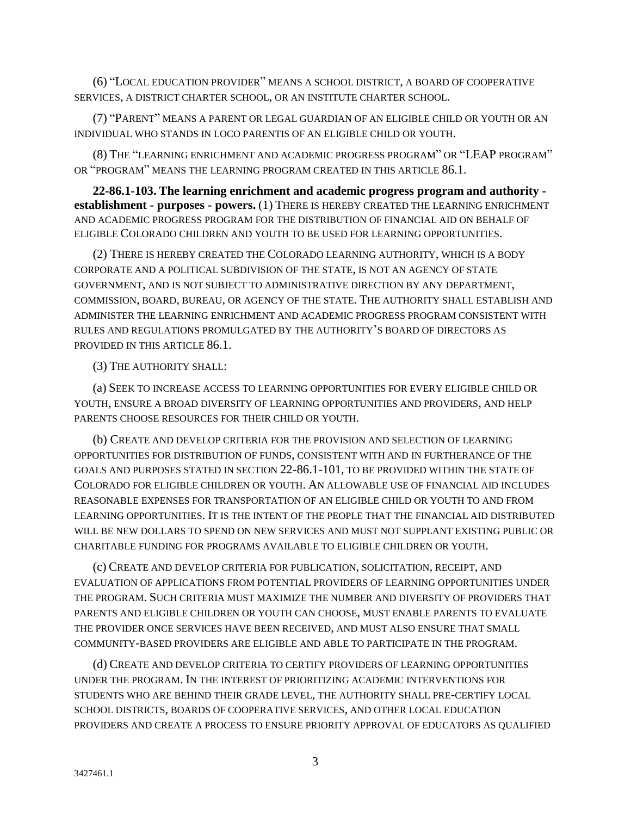(6) "LOCAL EDUCATION PROVIDER" MEANS A SCHOOL DISTRICT, A BOARD OF COOPERATIVE SERVICES, A DISTRICT CHARTER SCHOOL, OR AN INSTITUTE CHARTER SCHOOL.

(7) "PARENT" MEANS A PARENT OR LEGAL GUARDIAN OF AN ELIGIBLE CHILD OR YOUTH OR AN INDIVIDUAL WHO STANDS IN LOCO PARENTIS OF AN ELIGIBLE CHILD OR YOUTH.

(8) THE "LEARNING ENRICHMENT AND ACADEMIC PROGRESS PROGRAM" OR "LEAP PROGRAM" OR "PROGRAM" MEANS THE LEARNING PROGRAM CREATED IN THIS ARTICLE 86.1.

**22-86.1-103. The learning enrichment and academic progress program and authority establishment - purposes - powers.** (1) THERE IS HEREBY CREATED THE LEARNING ENRICHMENT AND ACADEMIC PROGRESS PROGRAM FOR THE DISTRIBUTION OF FINANCIAL AID ON BEHALF OF ELIGIBLE COLORADO CHILDREN AND YOUTH TO BE USED FOR LEARNING OPPORTUNITIES.

(2) THERE IS HEREBY CREATED THE COLORADO LEARNING AUTHORITY, WHICH IS A BODY CORPORATE AND A POLITICAL SUBDIVISION OF THE STATE, IS NOT AN AGENCY OF STATE GOVERNMENT, AND IS NOT SUBJECT TO ADMINISTRATIVE DIRECTION BY ANY DEPARTMENT, COMMISSION, BOARD, BUREAU, OR AGENCY OF THE STATE. THE AUTHORITY SHALL ESTABLISH AND ADMINISTER THE LEARNING ENRICHMENT AND ACADEMIC PROGRESS PROGRAM CONSISTENT WITH RULES AND REGULATIONS PROMULGATED BY THE AUTHORITY'S BOARD OF DIRECTORS AS PROVIDED IN THIS ARTICLE 86.1.

(3) THE AUTHORITY SHALL:

(a) SEEK TO INCREASE ACCESS TO LEARNING OPPORTUNITIES FOR EVERY ELIGIBLE CHILD OR YOUTH, ENSURE A BROAD DIVERSITY OF LEARNING OPPORTUNITIES AND PROVIDERS, AND HELP PARENTS CHOOSE RESOURCES FOR THEIR CHILD OR YOUTH.

(b) CREATE AND DEVELOP CRITERIA FOR THE PROVISION AND SELECTION OF LEARNING OPPORTUNITIES FOR DISTRIBUTION OF FUNDS, CONSISTENT WITH AND IN FURTHERANCE OF THE GOALS AND PURPOSES STATED IN SECTION 22-86.1-101, TO BE PROVIDED WITHIN THE STATE OF COLORADO FOR ELIGIBLE CHILDREN OR YOUTH. AN ALLOWABLE USE OF FINANCIAL AID INCLUDES REASONABLE EXPENSES FOR TRANSPORTATION OF AN ELIGIBLE CHILD OR YOUTH TO AND FROM LEARNING OPPORTUNITIES. IT IS THE INTENT OF THE PEOPLE THAT THE FINANCIAL AID DISTRIBUTED WILL BE NEW DOLLARS TO SPEND ON NEW SERVICES AND MUST NOT SUPPLANT EXISTING PUBLIC OR CHARITABLE FUNDING FOR PROGRAMS AVAILABLE TO ELIGIBLE CHILDREN OR YOUTH.

(c) CREATE AND DEVELOP CRITERIA FOR PUBLICATION, SOLICITATION, RECEIPT, AND EVALUATION OF APPLICATIONS FROM POTENTIAL PROVIDERS OF LEARNING OPPORTUNITIES UNDER THE PROGRAM. SUCH CRITERIA MUST MAXIMIZE THE NUMBER AND DIVERSITY OF PROVIDERS THAT PARENTS AND ELIGIBLE CHILDREN OR YOUTH CAN CHOOSE, MUST ENABLE PARENTS TO EVALUATE THE PROVIDER ONCE SERVICES HAVE BEEN RECEIVED, AND MUST ALSO ENSURE THAT SMALL COMMUNITY-BASED PROVIDERS ARE ELIGIBLE AND ABLE TO PARTICIPATE IN THE PROGRAM.

(d) CREATE AND DEVELOP CRITERIA TO CERTIFY PROVIDERS OF LEARNING OPPORTUNITIES UNDER THE PROGRAM. IN THE INTEREST OF PRIORITIZING ACADEMIC INTERVENTIONS FOR STUDENTS WHO ARE BEHIND THEIR GRADE LEVEL, THE AUTHORITY SHALL PRE-CERTIFY LOCAL SCHOOL DISTRICTS, BOARDS OF COOPERATIVE SERVICES, AND OTHER LOCAL EDUCATION PROVIDERS AND CREATE A PROCESS TO ENSURE PRIORITY APPROVAL OF EDUCATORS AS QUALIFIED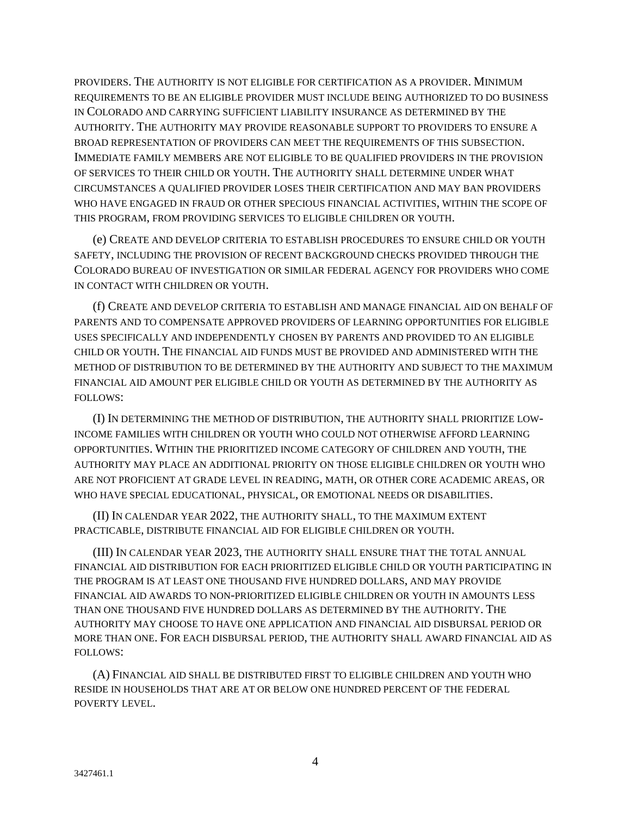PROVIDERS. THE AUTHORITY IS NOT ELIGIBLE FOR CERTIFICATION AS A PROVIDER. MINIMUM REQUIREMENTS TO BE AN ELIGIBLE PROVIDER MUST INCLUDE BEING AUTHORIZED TO DO BUSINESS IN COLORADO AND CARRYING SUFFICIENT LIABILITY INSURANCE AS DETERMINED BY THE AUTHORITY. THE AUTHORITY MAY PROVIDE REASONABLE SUPPORT TO PROVIDERS TO ENSURE A BROAD REPRESENTATION OF PROVIDERS CAN MEET THE REQUIREMENTS OF THIS SUBSECTION. IMMEDIATE FAMILY MEMBERS ARE NOT ELIGIBLE TO BE QUALIFIED PROVIDERS IN THE PROVISION OF SERVICES TO THEIR CHILD OR YOUTH. THE AUTHORITY SHALL DETERMINE UNDER WHAT CIRCUMSTANCES A QUALIFIED PROVIDER LOSES THEIR CERTIFICATION AND MAY BAN PROVIDERS WHO HAVE ENGAGED IN FRAUD OR OTHER SPECIOUS FINANCIAL ACTIVITIES, WITHIN THE SCOPE OF THIS PROGRAM, FROM PROVIDING SERVICES TO ELIGIBLE CHILDREN OR YOUTH.

(e) CREATE AND DEVELOP CRITERIA TO ESTABLISH PROCEDURES TO ENSURE CHILD OR YOUTH SAFETY, INCLUDING THE PROVISION OF RECENT BACKGROUND CHECKS PROVIDED THROUGH THE COLORADO BUREAU OF INVESTIGATION OR SIMILAR FEDERAL AGENCY FOR PROVIDERS WHO COME IN CONTACT WITH CHILDREN OR YOUTH.

(f) CREATE AND DEVELOP CRITERIA TO ESTABLISH AND MANAGE FINANCIAL AID ON BEHALF OF PARENTS AND TO COMPENSATE APPROVED PROVIDERS OF LEARNING OPPORTUNITIES FOR ELIGIBLE USES SPECIFICALLY AND INDEPENDENTLY CHOSEN BY PARENTS AND PROVIDED TO AN ELIGIBLE CHILD OR YOUTH. THE FINANCIAL AID FUNDS MUST BE PROVIDED AND ADMINISTERED WITH THE METHOD OF DISTRIBUTION TO BE DETERMINED BY THE AUTHORITY AND SUBJECT TO THE MAXIMUM FINANCIAL AID AMOUNT PER ELIGIBLE CHILD OR YOUTH AS DETERMINED BY THE AUTHORITY AS FOLLOWS:

(I) IN DETERMINING THE METHOD OF DISTRIBUTION, THE AUTHORITY SHALL PRIORITIZE LOW-INCOME FAMILIES WITH CHILDREN OR YOUTH WHO COULD NOT OTHERWISE AFFORD LEARNING OPPORTUNITIES. WITHIN THE PRIORITIZED INCOME CATEGORY OF CHILDREN AND YOUTH, THE AUTHORITY MAY PLACE AN ADDITIONAL PRIORITY ON THOSE ELIGIBLE CHILDREN OR YOUTH WHO ARE NOT PROFICIENT AT GRADE LEVEL IN READING, MATH, OR OTHER CORE ACADEMIC AREAS, OR WHO HAVE SPECIAL EDUCATIONAL, PHYSICAL, OR EMOTIONAL NEEDS OR DISABILITIES.

(II) IN CALENDAR YEAR 2022, THE AUTHORITY SHALL, TO THE MAXIMUM EXTENT PRACTICABLE, DISTRIBUTE FINANCIAL AID FOR ELIGIBLE CHILDREN OR YOUTH.

(III) IN CALENDAR YEAR 2023, THE AUTHORITY SHALL ENSURE THAT THE TOTAL ANNUAL FINANCIAL AID DISTRIBUTION FOR EACH PRIORITIZED ELIGIBLE CHILD OR YOUTH PARTICIPATING IN THE PROGRAM IS AT LEAST ONE THOUSAND FIVE HUNDRED DOLLARS, AND MAY PROVIDE FINANCIAL AID AWARDS TO NON-PRIORITIZED ELIGIBLE CHILDREN OR YOUTH IN AMOUNTS LESS THAN ONE THOUSAND FIVE HUNDRED DOLLARS AS DETERMINED BY THE AUTHORITY. THE AUTHORITY MAY CHOOSE TO HAVE ONE APPLICATION AND FINANCIAL AID DISBURSAL PERIOD OR MORE THAN ONE. FOR EACH DISBURSAL PERIOD, THE AUTHORITY SHALL AWARD FINANCIAL AID AS FOLLOWS:

(A) FINANCIAL AID SHALL BE DISTRIBUTED FIRST TO ELIGIBLE CHILDREN AND YOUTH WHO RESIDE IN HOUSEHOLDS THAT ARE AT OR BELOW ONE HUNDRED PERCENT OF THE FEDERAL POVERTY LEVEL.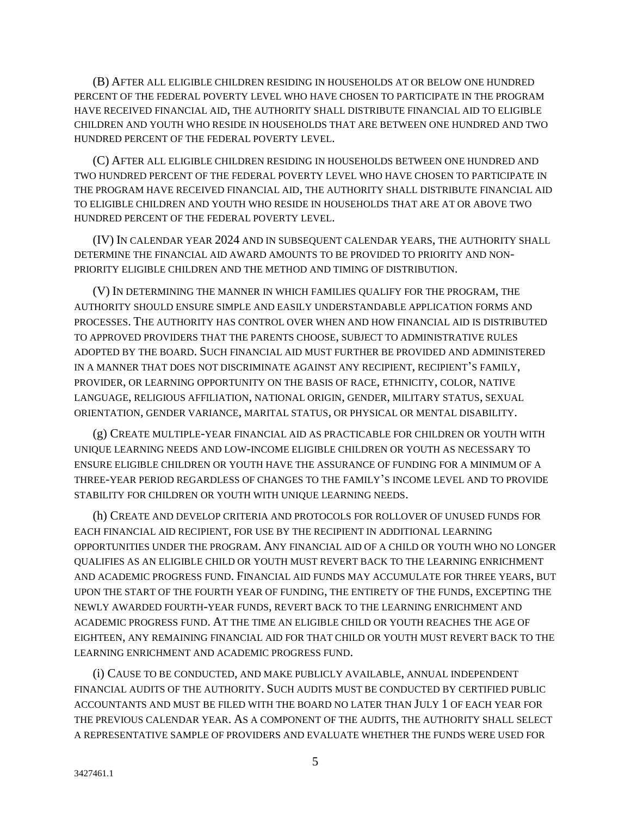(B) AFTER ALL ELIGIBLE CHILDREN RESIDING IN HOUSEHOLDS AT OR BELOW ONE HUNDRED PERCENT OF THE FEDERAL POVERTY LEVEL WHO HAVE CHOSEN TO PARTICIPATE IN THE PROGRAM HAVE RECEIVED FINANCIAL AID, THE AUTHORITY SHALL DISTRIBUTE FINANCIAL AID TO ELIGIBLE CHILDREN AND YOUTH WHO RESIDE IN HOUSEHOLDS THAT ARE BETWEEN ONE HUNDRED AND TWO HUNDRED PERCENT OF THE FEDERAL POVERTY LEVEL.

(C) AFTER ALL ELIGIBLE CHILDREN RESIDING IN HOUSEHOLDS BETWEEN ONE HUNDRED AND TWO HUNDRED PERCENT OF THE FEDERAL POVERTY LEVEL WHO HAVE CHOSEN TO PARTICIPATE IN THE PROGRAM HAVE RECEIVED FINANCIAL AID, THE AUTHORITY SHALL DISTRIBUTE FINANCIAL AID TO ELIGIBLE CHILDREN AND YOUTH WHO RESIDE IN HOUSEHOLDS THAT ARE AT OR ABOVE TWO HUNDRED PERCENT OF THE FEDERAL POVERTY LEVEL.

(IV) IN CALENDAR YEAR 2024 AND IN SUBSEQUENT CALENDAR YEARS, THE AUTHORITY SHALL DETERMINE THE FINANCIAL AID AWARD AMOUNTS TO BE PROVIDED TO PRIORITY AND NON-PRIORITY ELIGIBLE CHILDREN AND THE METHOD AND TIMING OF DISTRIBUTION.

(V) IN DETERMINING THE MANNER IN WHICH FAMILIES QUALIFY FOR THE PROGRAM, THE AUTHORITY SHOULD ENSURE SIMPLE AND EASILY UNDERSTANDABLE APPLICATION FORMS AND PROCESSES. THE AUTHORITY HAS CONTROL OVER WHEN AND HOW FINANCIAL AID IS DISTRIBUTED TO APPROVED PROVIDERS THAT THE PARENTS CHOOSE, SUBJECT TO ADMINISTRATIVE RULES ADOPTED BY THE BOARD. SUCH FINANCIAL AID MUST FURTHER BE PROVIDED AND ADMINISTERED IN A MANNER THAT DOES NOT DISCRIMINATE AGAINST ANY RECIPIENT, RECIPIENT'S FAMILY, PROVIDER, OR LEARNING OPPORTUNITY ON THE BASIS OF RACE, ETHNICITY, COLOR, NATIVE LANGUAGE, RELIGIOUS AFFILIATION, NATIONAL ORIGIN, GENDER, MILITARY STATUS, SEXUAL ORIENTATION, GENDER VARIANCE, MARITAL STATUS, OR PHYSICAL OR MENTAL DISABILITY.

(g) CREATE MULTIPLE-YEAR FINANCIAL AID AS PRACTICABLE FOR CHILDREN OR YOUTH WITH UNIQUE LEARNING NEEDS AND LOW-INCOME ELIGIBLE CHILDREN OR YOUTH AS NECESSARY TO ENSURE ELIGIBLE CHILDREN OR YOUTH HAVE THE ASSURANCE OF FUNDING FOR A MINIMUM OF A THREE-YEAR PERIOD REGARDLESS OF CHANGES TO THE FAMILY'S INCOME LEVEL AND TO PROVIDE STABILITY FOR CHILDREN OR YOUTH WITH UNIQUE LEARNING NEEDS.

(h) CREATE AND DEVELOP CRITERIA AND PROTOCOLS FOR ROLLOVER OF UNUSED FUNDS FOR EACH FINANCIAL AID RECIPIENT, FOR USE BY THE RECIPIENT IN ADDITIONAL LEARNING OPPORTUNITIES UNDER THE PROGRAM. ANY FINANCIAL AID OF A CHILD OR YOUTH WHO NO LONGER QUALIFIES AS AN ELIGIBLE CHILD OR YOUTH MUST REVERT BACK TO THE LEARNING ENRICHMENT AND ACADEMIC PROGRESS FUND. FINANCIAL AID FUNDS MAY ACCUMULATE FOR THREE YEARS, BUT UPON THE START OF THE FOURTH YEAR OF FUNDING, THE ENTIRETY OF THE FUNDS, EXCEPTING THE NEWLY AWARDED FOURTH-YEAR FUNDS, REVERT BACK TO THE LEARNING ENRICHMENT AND ACADEMIC PROGRESS FUND. AT THE TIME AN ELIGIBLE CHILD OR YOUTH REACHES THE AGE OF EIGHTEEN, ANY REMAINING FINANCIAL AID FOR THAT CHILD OR YOUTH MUST REVERT BACK TO THE LEARNING ENRICHMENT AND ACADEMIC PROGRESS FUND.

(i) CAUSE TO BE CONDUCTED, AND MAKE PUBLICLY AVAILABLE, ANNUAL INDEPENDENT FINANCIAL AUDITS OF THE AUTHORITY. SUCH AUDITS MUST BE CONDUCTED BY CERTIFIED PUBLIC ACCOUNTANTS AND MUST BE FILED WITH THE BOARD NO LATER THAN JULY 1 OF EACH YEAR FOR THE PREVIOUS CALENDAR YEAR. AS A COMPONENT OF THE AUDITS, THE AUTHORITY SHALL SELECT A REPRESENTATIVE SAMPLE OF PROVIDERS AND EVALUATE WHETHER THE FUNDS WERE USED FOR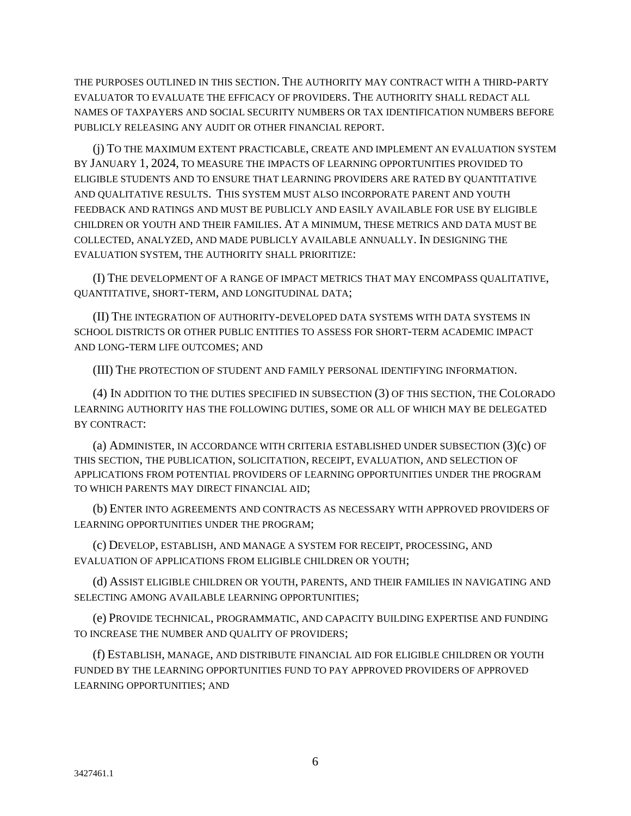THE PURPOSES OUTLINED IN THIS SECTION. THE AUTHORITY MAY CONTRACT WITH A THIRD-PARTY EVALUATOR TO EVALUATE THE EFFICACY OF PROVIDERS. THE AUTHORITY SHALL REDACT ALL NAMES OF TAXPAYERS AND SOCIAL SECURITY NUMBERS OR TAX IDENTIFICATION NUMBERS BEFORE PUBLICLY RELEASING ANY AUDIT OR OTHER FINANCIAL REPORT.

(j) TO THE MAXIMUM EXTENT PRACTICABLE, CREATE AND IMPLEMENT AN EVALUATION SYSTEM BY JANUARY 1, 2024, TO MEASURE THE IMPACTS OF LEARNING OPPORTUNITIES PROVIDED TO ELIGIBLE STUDENTS AND TO ENSURE THAT LEARNING PROVIDERS ARE RATED BY QUANTITATIVE AND QUALITATIVE RESULTS. THIS SYSTEM MUST ALSO INCORPORATE PARENT AND YOUTH FEEDBACK AND RATINGS AND MUST BE PUBLICLY AND EASILY AVAILABLE FOR USE BY ELIGIBLE CHILDREN OR YOUTH AND THEIR FAMILIES. AT A MINIMUM, THESE METRICS AND DATA MUST BE COLLECTED, ANALYZED, AND MADE PUBLICLY AVAILABLE ANNUALLY. IN DESIGNING THE EVALUATION SYSTEM, THE AUTHORITY SHALL PRIORITIZE:

(I) THE DEVELOPMENT OF A RANGE OF IMPACT METRICS THAT MAY ENCOMPASS QUALITATIVE, QUANTITATIVE, SHORT-TERM, AND LONGITUDINAL DATA;

(II) THE INTEGRATION OF AUTHORITY-DEVELOPED DATA SYSTEMS WITH DATA SYSTEMS IN SCHOOL DISTRICTS OR OTHER PUBLIC ENTITIES TO ASSESS FOR SHORT-TERM ACADEMIC IMPACT AND LONG-TERM LIFE OUTCOMES; AND

(III) THE PROTECTION OF STUDENT AND FAMILY PERSONAL IDENTIFYING INFORMATION.

(4) IN ADDITION TO THE DUTIES SPECIFIED IN SUBSECTION (3) OF THIS SECTION, THE COLORADO LEARNING AUTHORITY HAS THE FOLLOWING DUTIES, SOME OR ALL OF WHICH MAY BE DELEGATED BY CONTRACT:

(a) ADMINISTER, IN ACCORDANCE WITH CRITERIA ESTABLISHED UNDER SUBSECTION (3)(c) OF THIS SECTION, THE PUBLICATION, SOLICITATION, RECEIPT, EVALUATION, AND SELECTION OF APPLICATIONS FROM POTENTIAL PROVIDERS OF LEARNING OPPORTUNITIES UNDER THE PROGRAM TO WHICH PARENTS MAY DIRECT FINANCIAL AID;

(b) ENTER INTO AGREEMENTS AND CONTRACTS AS NECESSARY WITH APPROVED PROVIDERS OF LEARNING OPPORTUNITIES UNDER THE PROGRAM;

(c) DEVELOP, ESTABLISH, AND MANAGE A SYSTEM FOR RECEIPT, PROCESSING, AND EVALUATION OF APPLICATIONS FROM ELIGIBLE CHILDREN OR YOUTH;

(d) ASSIST ELIGIBLE CHILDREN OR YOUTH, PARENTS, AND THEIR FAMILIES IN NAVIGATING AND SELECTING AMONG AVAILABLE LEARNING OPPORTUNITIES;

(e) PROVIDE TECHNICAL, PROGRAMMATIC, AND CAPACITY BUILDING EXPERTISE AND FUNDING TO INCREASE THE NUMBER AND QUALITY OF PROVIDERS;

(f) ESTABLISH, MANAGE, AND DISTRIBUTE FINANCIAL AID FOR ELIGIBLE CHILDREN OR YOUTH FUNDED BY THE LEARNING OPPORTUNITIES FUND TO PAY APPROVED PROVIDERS OF APPROVED LEARNING OPPORTUNITIES; AND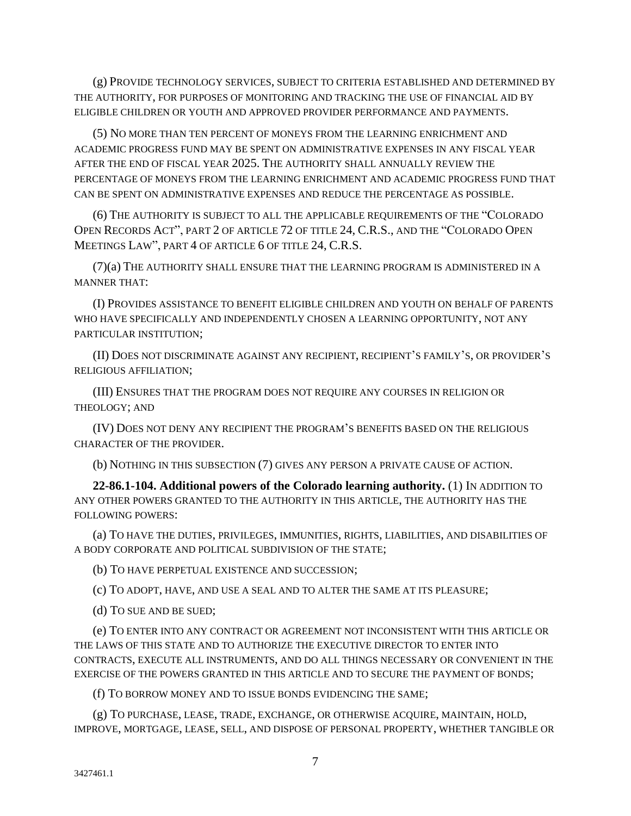(g) PROVIDE TECHNOLOGY SERVICES, SUBJECT TO CRITERIA ESTABLISHED AND DETERMINED BY THE AUTHORITY, FOR PURPOSES OF MONITORING AND TRACKING THE USE OF FINANCIAL AID BY ELIGIBLE CHILDREN OR YOUTH AND APPROVED PROVIDER PERFORMANCE AND PAYMENTS.

(5) NO MORE THAN TEN PERCENT OF MONEYS FROM THE LEARNING ENRICHMENT AND ACADEMIC PROGRESS FUND MAY BE SPENT ON ADMINISTRATIVE EXPENSES IN ANY FISCAL YEAR AFTER THE END OF FISCAL YEAR 2025. THE AUTHORITY SHALL ANNUALLY REVIEW THE PERCENTAGE OF MONEYS FROM THE LEARNING ENRICHMENT AND ACADEMIC PROGRESS FUND THAT CAN BE SPENT ON ADMINISTRATIVE EXPENSES AND REDUCE THE PERCENTAGE AS POSSIBLE.

(6) THE AUTHORITY IS SUBJECT TO ALL THE APPLICABLE REQUIREMENTS OF THE "COLORADO OPEN RECORDS ACT", PART 2 OF ARTICLE 72 OF TITLE 24, C.R.S., AND THE "COLORADO OPEN MEETINGS LAW", PART 4 OF ARTICLE 6 OF TITLE 24, C.R.S.

(7)(a) THE AUTHORITY SHALL ENSURE THAT THE LEARNING PROGRAM IS ADMINISTERED IN A MANNER THAT:

(I) PROVIDES ASSISTANCE TO BENEFIT ELIGIBLE CHILDREN AND YOUTH ON BEHALF OF PARENTS WHO HAVE SPECIFICALLY AND INDEPENDENTLY CHOSEN A LEARNING OPPORTUNITY, NOT ANY PARTICULAR INSTITUTION;

(II) DOES NOT DISCRIMINATE AGAINST ANY RECIPIENT, RECIPIENT'S FAMILY'S, OR PROVIDER'S RELIGIOUS AFFILIATION;

(III) ENSURES THAT THE PROGRAM DOES NOT REQUIRE ANY COURSES IN RELIGION OR THEOLOGY; AND

(IV) DOES NOT DENY ANY RECIPIENT THE PROGRAM'S BENEFITS BASED ON THE RELIGIOUS CHARACTER OF THE PROVIDER.

(b) NOTHING IN THIS SUBSECTION (7) GIVES ANY PERSON A PRIVATE CAUSE OF ACTION.

**22-86.1-104. Additional powers of the Colorado learning authority.** (1) IN ADDITION TO ANY OTHER POWERS GRANTED TO THE AUTHORITY IN THIS ARTICLE, THE AUTHORITY HAS THE FOLLOWING POWERS:

(a) TO HAVE THE DUTIES, PRIVILEGES, IMMUNITIES, RIGHTS, LIABILITIES, AND DISABILITIES OF A BODY CORPORATE AND POLITICAL SUBDIVISION OF THE STATE;

(b) TO HAVE PERPETUAL EXISTENCE AND SUCCESSION;

(c) TO ADOPT, HAVE, AND USE A SEAL AND TO ALTER THE SAME AT ITS PLEASURE;

(d) TO SUE AND BE SUED;

(e) TO ENTER INTO ANY CONTRACT OR AGREEMENT NOT INCONSISTENT WITH THIS ARTICLE OR THE LAWS OF THIS STATE AND TO AUTHORIZE THE EXECUTIVE DIRECTOR TO ENTER INTO CONTRACTS, EXECUTE ALL INSTRUMENTS, AND DO ALL THINGS NECESSARY OR CONVENIENT IN THE EXERCISE OF THE POWERS GRANTED IN THIS ARTICLE AND TO SECURE THE PAYMENT OF BONDS;

(f) TO BORROW MONEY AND TO ISSUE BONDS EVIDENCING THE SAME;

(g) TO PURCHASE, LEASE, TRADE, EXCHANGE, OR OTHERWISE ACQUIRE, MAINTAIN, HOLD, IMPROVE, MORTGAGE, LEASE, SELL, AND DISPOSE OF PERSONAL PROPERTY, WHETHER TANGIBLE OR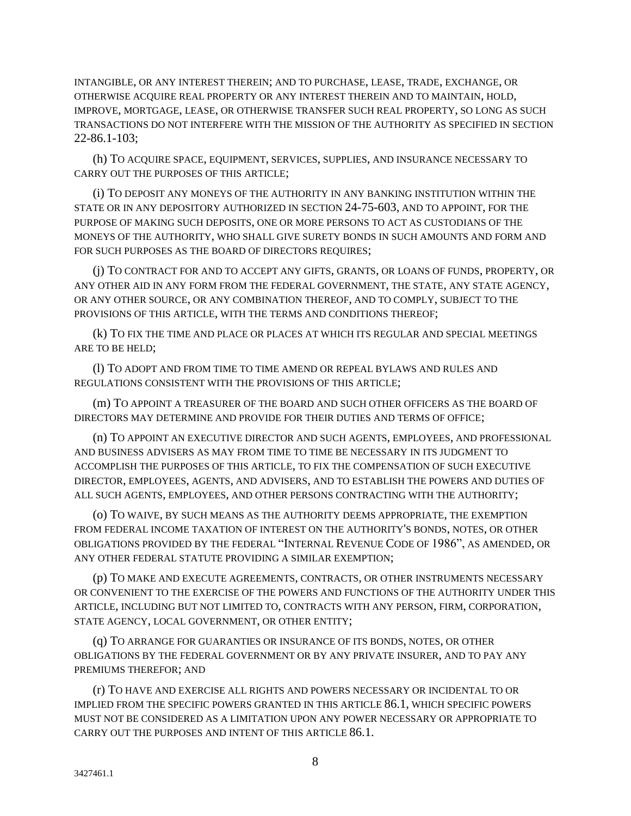INTANGIBLE, OR ANY INTEREST THEREIN; AND TO PURCHASE, LEASE, TRADE, EXCHANGE, OR OTHERWISE ACQUIRE REAL PROPERTY OR ANY INTEREST THEREIN AND TO MAINTAIN, HOLD, IMPROVE, MORTGAGE, LEASE, OR OTHERWISE TRANSFER SUCH REAL PROPERTY, SO LONG AS SUCH TRANSACTIONS DO NOT INTERFERE WITH THE MISSION OF THE AUTHORITY AS SPECIFIED IN SECTION 22-86.1-103;

(h) TO ACQUIRE SPACE, EQUIPMENT, SERVICES, SUPPLIES, AND INSURANCE NECESSARY TO CARRY OUT THE PURPOSES OF THIS ARTICLE;

(i) TO DEPOSIT ANY MONEYS OF THE AUTHORITY IN ANY BANKING INSTITUTION WITHIN THE STATE OR IN ANY DEPOSITORY AUTHORIZED IN SECTION 24-75-603, AND TO APPOINT, FOR THE PURPOSE OF MAKING SUCH DEPOSITS, ONE OR MORE PERSONS TO ACT AS CUSTODIANS OF THE MONEYS OF THE AUTHORITY, WHO SHALL GIVE SURETY BONDS IN SUCH AMOUNTS AND FORM AND FOR SUCH PURPOSES AS THE BOARD OF DIRECTORS REQUIRES;

(j) TO CONTRACT FOR AND TO ACCEPT ANY GIFTS, GRANTS, OR LOANS OF FUNDS, PROPERTY, OR ANY OTHER AID IN ANY FORM FROM THE FEDERAL GOVERNMENT, THE STATE, ANY STATE AGENCY, OR ANY OTHER SOURCE, OR ANY COMBINATION THEREOF, AND TO COMPLY, SUBJECT TO THE PROVISIONS OF THIS ARTICLE, WITH THE TERMS AND CONDITIONS THEREOF;

(k) TO FIX THE TIME AND PLACE OR PLACES AT WHICH ITS REGULAR AND SPECIAL MEETINGS ARE TO BE HELD;

(l) TO ADOPT AND FROM TIME TO TIME AMEND OR REPEAL BYLAWS AND RULES AND REGULATIONS CONSISTENT WITH THE PROVISIONS OF THIS ARTICLE;

(m) TO APPOINT A TREASURER OF THE BOARD AND SUCH OTHER OFFICERS AS THE BOARD OF DIRECTORS MAY DETERMINE AND PROVIDE FOR THEIR DUTIES AND TERMS OF OFFICE;

(n) TO APPOINT AN EXECUTIVE DIRECTOR AND SUCH AGENTS, EMPLOYEES, AND PROFESSIONAL AND BUSINESS ADVISERS AS MAY FROM TIME TO TIME BE NECESSARY IN ITS JUDGMENT TO ACCOMPLISH THE PURPOSES OF THIS ARTICLE, TO FIX THE COMPENSATION OF SUCH EXECUTIVE DIRECTOR, EMPLOYEES, AGENTS, AND ADVISERS, AND TO ESTABLISH THE POWERS AND DUTIES OF ALL SUCH AGENTS, EMPLOYEES, AND OTHER PERSONS CONTRACTING WITH THE AUTHORITY;

(o) TO WAIVE, BY SUCH MEANS AS THE AUTHORITY DEEMS APPROPRIATE, THE EXEMPTION FROM FEDERAL INCOME TAXATION OF INTEREST ON THE AUTHORITY'S BONDS, NOTES, OR OTHER OBLIGATIONS PROVIDED BY THE FEDERAL "INTERNAL REVENUE CODE OF 1986", AS AMENDED, OR ANY OTHER FEDERAL STATUTE PROVIDING A SIMILAR EXEMPTION;

(p) TO MAKE AND EXECUTE AGREEMENTS, CONTRACTS, OR OTHER INSTRUMENTS NECESSARY OR CONVENIENT TO THE EXERCISE OF THE POWERS AND FUNCTIONS OF THE AUTHORITY UNDER THIS ARTICLE, INCLUDING BUT NOT LIMITED TO, CONTRACTS WITH ANY PERSON, FIRM, CORPORATION, STATE AGENCY, LOCAL GOVERNMENT, OR OTHER ENTITY;

(q) TO ARRANGE FOR GUARANTIES OR INSURANCE OF ITS BONDS, NOTES, OR OTHER OBLIGATIONS BY THE FEDERAL GOVERNMENT OR BY ANY PRIVATE INSURER, AND TO PAY ANY PREMIUMS THEREFOR; AND

(r) TO HAVE AND EXERCISE ALL RIGHTS AND POWERS NECESSARY OR INCIDENTAL TO OR IMPLIED FROM THE SPECIFIC POWERS GRANTED IN THIS ARTICLE 86.1, WHICH SPECIFIC POWERS MUST NOT BE CONSIDERED AS A LIMITATION UPON ANY POWER NECESSARY OR APPROPRIATE TO CARRY OUT THE PURPOSES AND INTENT OF THIS ARTICLE 86.1.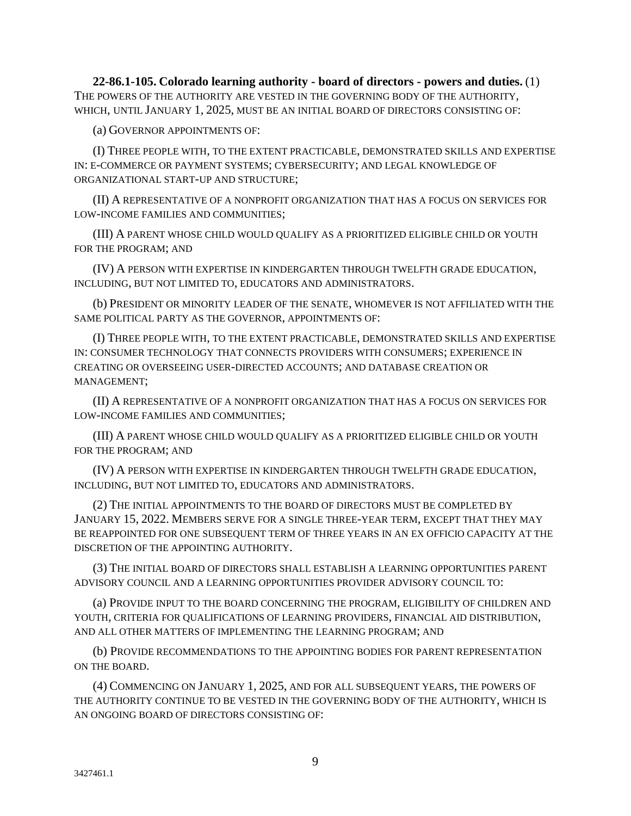**22-86.1-105. Colorado learning authority - board of directors - powers and duties.** (1) THE POWERS OF THE AUTHORITY ARE VESTED IN THE GOVERNING BODY OF THE AUTHORITY, WHICH, UNTIL JANUARY 1, 2025, MUST BE AN INITIAL BOARD OF DIRECTORS CONSISTING OF:

(a) GOVERNOR APPOINTMENTS OF:

(I) THREE PEOPLE WITH, TO THE EXTENT PRACTICABLE, DEMONSTRATED SKILLS AND EXPERTISE IN: E-COMMERCE OR PAYMENT SYSTEMS; CYBERSECURITY; AND LEGAL KNOWLEDGE OF ORGANIZATIONAL START-UP AND STRUCTURE;

(II) A REPRESENTATIVE OF A NONPROFIT ORGANIZATION THAT HAS A FOCUS ON SERVICES FOR LOW-INCOME FAMILIES AND COMMUNITIES;

(III) A PARENT WHOSE CHILD WOULD QUALIFY AS A PRIORITIZED ELIGIBLE CHILD OR YOUTH FOR THE PROGRAM; AND

(IV) A PERSON WITH EXPERTISE IN KINDERGARTEN THROUGH TWELFTH GRADE EDUCATION, INCLUDING, BUT NOT LIMITED TO, EDUCATORS AND ADMINISTRATORS.

(b) PRESIDENT OR MINORITY LEADER OF THE SENATE, WHOMEVER IS NOT AFFILIATED WITH THE SAME POLITICAL PARTY AS THE GOVERNOR, APPOINTMENTS OF:

(I) THREE PEOPLE WITH, TO THE EXTENT PRACTICABLE, DEMONSTRATED SKILLS AND EXPERTISE IN: CONSUMER TECHNOLOGY THAT CONNECTS PROVIDERS WITH CONSUMERS; EXPERIENCE IN CREATING OR OVERSEEING USER-DIRECTED ACCOUNTS; AND DATABASE CREATION OR MANAGEMENT;

(II) A REPRESENTATIVE OF A NONPROFIT ORGANIZATION THAT HAS A FOCUS ON SERVICES FOR LOW-INCOME FAMILIES AND COMMUNITIES;

(III) A PARENT WHOSE CHILD WOULD QUALIFY AS A PRIORITIZED ELIGIBLE CHILD OR YOUTH FOR THE PROGRAM; AND

(IV) A PERSON WITH EXPERTISE IN KINDERGARTEN THROUGH TWELFTH GRADE EDUCATION, INCLUDING, BUT NOT LIMITED TO, EDUCATORS AND ADMINISTRATORS.

(2) THE INITIAL APPOINTMENTS TO THE BOARD OF DIRECTORS MUST BE COMPLETED BY JANUARY 15, 2022. MEMBERS SERVE FOR A SINGLE THREE-YEAR TERM, EXCEPT THAT THEY MAY BE REAPPOINTED FOR ONE SUBSEQUENT TERM OF THREE YEARS IN AN EX OFFICIO CAPACITY AT THE DISCRETION OF THE APPOINTING AUTHORITY.

(3) THE INITIAL BOARD OF DIRECTORS SHALL ESTABLISH A LEARNING OPPORTUNITIES PARENT ADVISORY COUNCIL AND A LEARNING OPPORTUNITIES PROVIDER ADVISORY COUNCIL TO:

(a) PROVIDE INPUT TO THE BOARD CONCERNING THE PROGRAM, ELIGIBILITY OF CHILDREN AND YOUTH, CRITERIA FOR QUALIFICATIONS OF LEARNING PROVIDERS, FINANCIAL AID DISTRIBUTION, AND ALL OTHER MATTERS OF IMPLEMENTING THE LEARNING PROGRAM; AND

(b) PROVIDE RECOMMENDATIONS TO THE APPOINTING BODIES FOR PARENT REPRESENTATION ON THE BOARD.

(4) COMMENCING ON JANUARY 1, 2025, AND FOR ALL SUBSEQUENT YEARS, THE POWERS OF THE AUTHORITY CONTINUE TO BE VESTED IN THE GOVERNING BODY OF THE AUTHORITY, WHICH IS AN ONGOING BOARD OF DIRECTORS CONSISTING OF: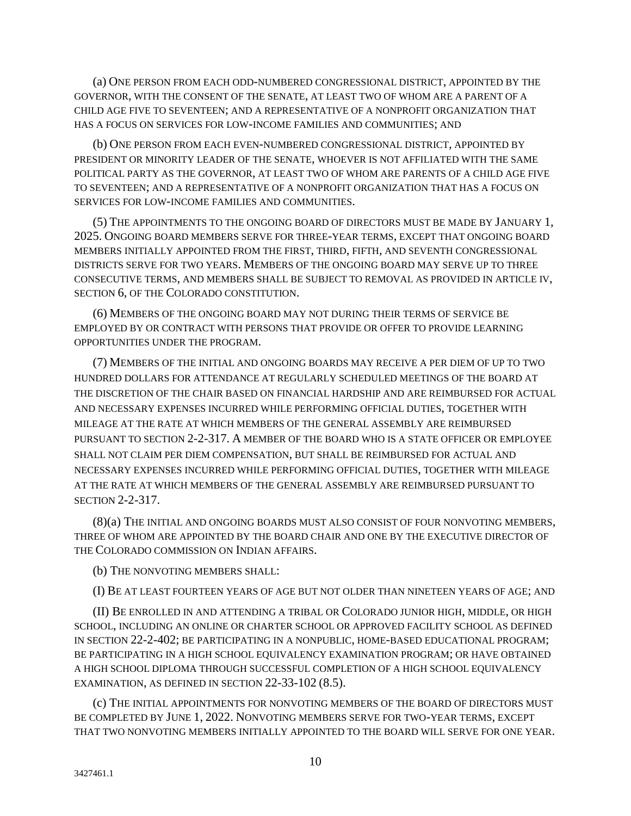(a) ONE PERSON FROM EACH ODD-NUMBERED CONGRESSIONAL DISTRICT, APPOINTED BY THE GOVERNOR, WITH THE CONSENT OF THE SENATE, AT LEAST TWO OF WHOM ARE A PARENT OF A CHILD AGE FIVE TO SEVENTEEN; AND A REPRESENTATIVE OF A NONPROFIT ORGANIZATION THAT HAS A FOCUS ON SERVICES FOR LOW-INCOME FAMILIES AND COMMUNITIES; AND

(b) ONE PERSON FROM EACH EVEN-NUMBERED CONGRESSIONAL DISTRICT, APPOINTED BY PRESIDENT OR MINORITY LEADER OF THE SENATE, WHOEVER IS NOT AFFILIATED WITH THE SAME POLITICAL PARTY AS THE GOVERNOR, AT LEAST TWO OF WHOM ARE PARENTS OF A CHILD AGE FIVE TO SEVENTEEN; AND A REPRESENTATIVE OF A NONPROFIT ORGANIZATION THAT HAS A FOCUS ON SERVICES FOR LOW-INCOME FAMILIES AND COMMUNITIES.

(5) THE APPOINTMENTS TO THE ONGOING BOARD OF DIRECTORS MUST BE MADE BY JANUARY 1, 2025. ONGOING BOARD MEMBERS SERVE FOR THREE-YEAR TERMS, EXCEPT THAT ONGOING BOARD MEMBERS INITIALLY APPOINTED FROM THE FIRST, THIRD, FIFTH, AND SEVENTH CONGRESSIONAL DISTRICTS SERVE FOR TWO YEARS. MEMBERS OF THE ONGOING BOARD MAY SERVE UP TO THREE CONSECUTIVE TERMS, AND MEMBERS SHALL BE SUBJECT TO REMOVAL AS PROVIDED IN ARTICLE IV, SECTION 6, OF THE COLORADO CONSTITUTION.

(6) MEMBERS OF THE ONGOING BOARD MAY NOT DURING THEIR TERMS OF SERVICE BE EMPLOYED BY OR CONTRACT WITH PERSONS THAT PROVIDE OR OFFER TO PROVIDE LEARNING OPPORTUNITIES UNDER THE PROGRAM.

(7) MEMBERS OF THE INITIAL AND ONGOING BOARDS MAY RECEIVE A PER DIEM OF UP TO TWO HUNDRED DOLLARS FOR ATTENDANCE AT REGULARLY SCHEDULED MEETINGS OF THE BOARD AT THE DISCRETION OF THE CHAIR BASED ON FINANCIAL HARDSHIP AND ARE REIMBURSED FOR ACTUAL AND NECESSARY EXPENSES INCURRED WHILE PERFORMING OFFICIAL DUTIES, TOGETHER WITH MILEAGE AT THE RATE AT WHICH MEMBERS OF THE GENERAL ASSEMBLY ARE REIMBURSED PURSUANT TO SECTION 2-2-317. A MEMBER OF THE BOARD WHO IS A STATE OFFICER OR EMPLOYEE SHALL NOT CLAIM PER DIEM COMPENSATION, BUT SHALL BE REIMBURSED FOR ACTUAL AND NECESSARY EXPENSES INCURRED WHILE PERFORMING OFFICIAL DUTIES, TOGETHER WITH MILEAGE AT THE RATE AT WHICH MEMBERS OF THE GENERAL ASSEMBLY ARE REIMBURSED PURSUANT TO SECTION 2-2-317.

(8)(a) THE INITIAL AND ONGOING BOARDS MUST ALSO CONSIST OF FOUR NONVOTING MEMBERS, THREE OF WHOM ARE APPOINTED BY THE BOARD CHAIR AND ONE BY THE EXECUTIVE DIRECTOR OF THE COLORADO COMMISSION ON INDIAN AFFAIRS.

(b) THE NONVOTING MEMBERS SHALL:

(I) BE AT LEAST FOURTEEN YEARS OF AGE BUT NOT OLDER THAN NINETEEN YEARS OF AGE; AND

(II) BE ENROLLED IN AND ATTENDING A TRIBAL OR COLORADO JUNIOR HIGH, MIDDLE, OR HIGH SCHOOL, INCLUDING AN ONLINE OR CHARTER SCHOOL OR APPROVED FACILITY SCHOOL AS DEFINED IN SECTION 22-2-402; BE PARTICIPATING IN A NONPUBLIC, HOME-BASED EDUCATIONAL PROGRAM; BE PARTICIPATING IN A HIGH SCHOOL EQUIVALENCY EXAMINATION PROGRAM; OR HAVE OBTAINED A HIGH SCHOOL DIPLOMA THROUGH SUCCESSFUL COMPLETION OF A HIGH SCHOOL EQUIVALENCY EXAMINATION, AS DEFINED IN SECTION 22-33-102 (8.5).

(c) THE INITIAL APPOINTMENTS FOR NONVOTING MEMBERS OF THE BOARD OF DIRECTORS MUST BE COMPLETED BY JUNE 1, 2022. NONVOTING MEMBERS SERVE FOR TWO-YEAR TERMS, EXCEPT THAT TWO NONVOTING MEMBERS INITIALLY APPOINTED TO THE BOARD WILL SERVE FOR ONE YEAR.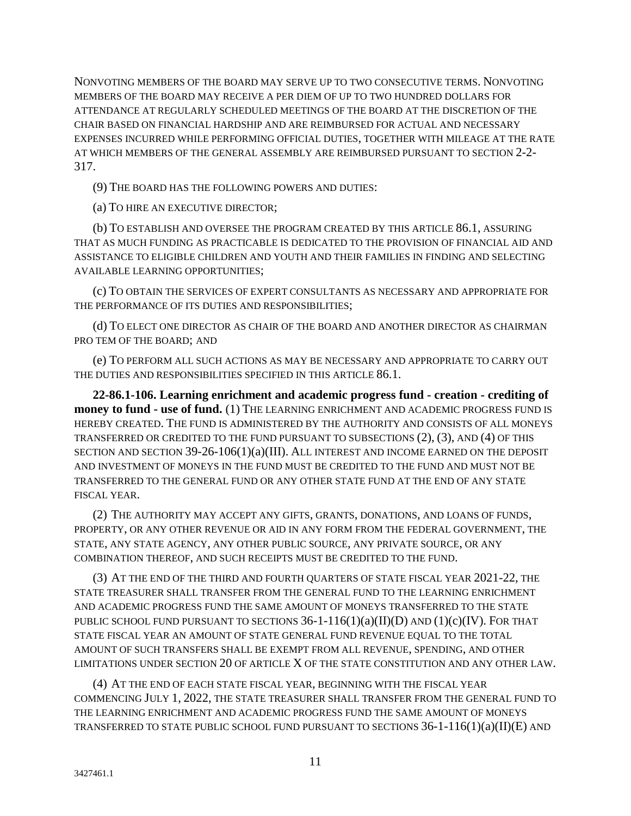NONVOTING MEMBERS OF THE BOARD MAY SERVE UP TO TWO CONSECUTIVE TERMS. NONVOTING MEMBERS OF THE BOARD MAY RECEIVE A PER DIEM OF UP TO TWO HUNDRED DOLLARS FOR ATTENDANCE AT REGULARLY SCHEDULED MEETINGS OF THE BOARD AT THE DISCRETION OF THE CHAIR BASED ON FINANCIAL HARDSHIP AND ARE REIMBURSED FOR ACTUAL AND NECESSARY EXPENSES INCURRED WHILE PERFORMING OFFICIAL DUTIES, TOGETHER WITH MILEAGE AT THE RATE AT WHICH MEMBERS OF THE GENERAL ASSEMBLY ARE REIMBURSED PURSUANT TO SECTION 2-2- 317.

(9) THE BOARD HAS THE FOLLOWING POWERS AND DUTIES:

(a) TO HIRE AN EXECUTIVE DIRECTOR;

(b) TO ESTABLISH AND OVERSEE THE PROGRAM CREATED BY THIS ARTICLE 86.1, ASSURING THAT AS MUCH FUNDING AS PRACTICABLE IS DEDICATED TO THE PROVISION OF FINANCIAL AID AND ASSISTANCE TO ELIGIBLE CHILDREN AND YOUTH AND THEIR FAMILIES IN FINDING AND SELECTING AVAILABLE LEARNING OPPORTUNITIES;

(c) TO OBTAIN THE SERVICES OF EXPERT CONSULTANTS AS NECESSARY AND APPROPRIATE FOR THE PERFORMANCE OF ITS DUTIES AND RESPONSIBILITIES;

(d) TO ELECT ONE DIRECTOR AS CHAIR OF THE BOARD AND ANOTHER DIRECTOR AS CHAIRMAN PRO TEM OF THE BOARD; AND

(e) TO PERFORM ALL SUCH ACTIONS AS MAY BE NECESSARY AND APPROPRIATE TO CARRY OUT THE DUTIES AND RESPONSIBILITIES SPECIFIED IN THIS ARTICLE 86.1.

**22-86.1-106. Learning enrichment and academic progress fund - creation - crediting of money to fund - use of fund.** (1) THE LEARNING ENRICHMENT AND ACADEMIC PROGRESS FUND IS HEREBY CREATED. THE FUND IS ADMINISTERED BY THE AUTHORITY AND CONSISTS OF ALL MONEYS TRANSFERRED OR CREDITED TO THE FUND PURSUANT TO SUBSECTIONS (2), (3), AND (4) OF THIS SECTION AND SECTION 39-26-106(1)(a)(III). ALL INTEREST AND INCOME EARNED ON THE DEPOSIT AND INVESTMENT OF MONEYS IN THE FUND MUST BE CREDITED TO THE FUND AND MUST NOT BE TRANSFERRED TO THE GENERAL FUND OR ANY OTHER STATE FUND AT THE END OF ANY STATE FISCAL YEAR.

(2) THE AUTHORITY MAY ACCEPT ANY GIFTS, GRANTS, DONATIONS, AND LOANS OF FUNDS, PROPERTY, OR ANY OTHER REVENUE OR AID IN ANY FORM FROM THE FEDERAL GOVERNMENT, THE STATE, ANY STATE AGENCY, ANY OTHER PUBLIC SOURCE, ANY PRIVATE SOURCE, OR ANY COMBINATION THEREOF, AND SUCH RECEIPTS MUST BE CREDITED TO THE FUND.

(3) AT THE END OF THE THIRD AND FOURTH QUARTERS OF STATE FISCAL YEAR 2021-22, THE STATE TREASURER SHALL TRANSFER FROM THE GENERAL FUND TO THE LEARNING ENRICHMENT AND ACADEMIC PROGRESS FUND THE SAME AMOUNT OF MONEYS TRANSFERRED TO THE STATE PUBLIC SCHOOL FUND PURSUANT TO SECTIONS  $36$ -1-116(1)(a)(II)(D) AND (1)(c)(IV). FOR THAT STATE FISCAL YEAR AN AMOUNT OF STATE GENERAL FUND REVENUE EQUAL TO THE TOTAL AMOUNT OF SUCH TRANSFERS SHALL BE EXEMPT FROM ALL REVENUE, SPENDING, AND OTHER LIMITATIONS UNDER SECTION 20 OF ARTICLE X OF THE STATE CONSTITUTION AND ANY OTHER LAW.

(4) AT THE END OF EACH STATE FISCAL YEAR, BEGINNING WITH THE FISCAL YEAR COMMENCING JULY 1, 2022, THE STATE TREASURER SHALL TRANSFER FROM THE GENERAL FUND TO THE LEARNING ENRICHMENT AND ACADEMIC PROGRESS FUND THE SAME AMOUNT OF MONEYS TRANSFERRED TO STATE PUBLIC SCHOOL FUND PURSUANT TO SECTIONS  $36$ -1-116(1)(a)(II)(E) AND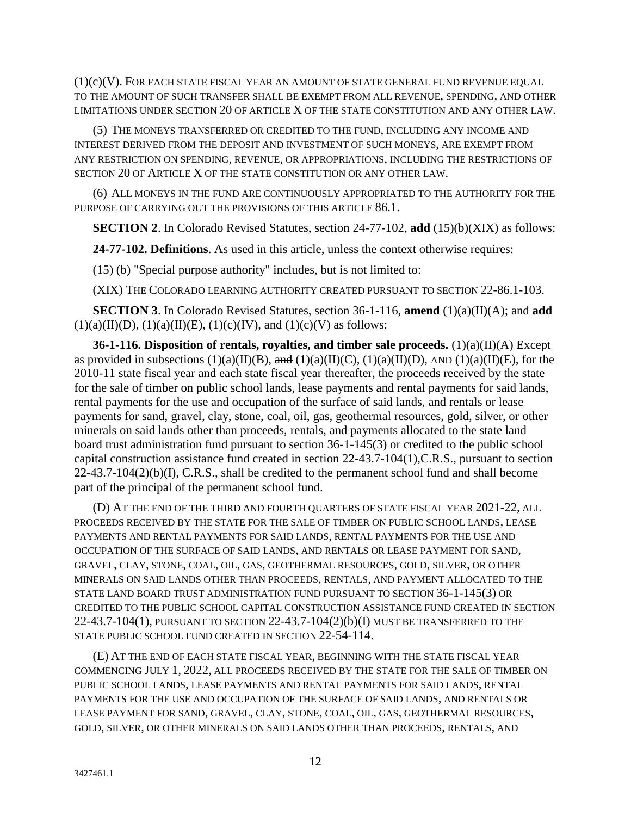$(1)(c)(V)$ . FOR EACH STATE FISCAL YEAR AN AMOUNT OF STATE GENERAL FUND REVENUE EQUAL TO THE AMOUNT OF SUCH TRANSFER SHALL BE EXEMPT FROM ALL REVENUE, SPENDING, AND OTHER LIMITATIONS UNDER SECTION 20 OF ARTICLE X OF THE STATE CONSTITUTION AND ANY OTHER LAW.

(5) THE MONEYS TRANSFERRED OR CREDITED TO THE FUND, INCLUDING ANY INCOME AND INTEREST DERIVED FROM THE DEPOSIT AND INVESTMENT OF SUCH MONEYS, ARE EXEMPT FROM ANY RESTRICTION ON SPENDING, REVENUE, OR APPROPRIATIONS, INCLUDING THE RESTRICTIONS OF SECTION 20 OF ARTICLE X OF THE STATE CONSTITUTION OR ANY OTHER LAW.

(6) ALL MONEYS IN THE FUND ARE CONTINUOUSLY APPROPRIATED TO THE AUTHORITY FOR THE PURPOSE OF CARRYING OUT THE PROVISIONS OF THIS ARTICLE 86.1.

**SECTION 2**. In Colorado Revised Statutes, section 24-77-102, **add** (15)(b)(XIX) as follows:

**24-77-102. Definitions**. As used in this article, unless the context otherwise requires:

(15) (b) "Special purpose authority" includes, but is not limited to:

(XIX) THE COLORADO LEARNING AUTHORITY CREATED PURSUANT TO SECTION 22-86.1-103.

**SECTION 3**. In Colorado Revised Statutes, section 36-1-116, **amend** (1)(a)(II)(A); and **add**  $(1)(a)(II)(D), (1)(a)(II)(E), (1)(c)(IV), and (1)(c)(V)$  as follows:

**36-1-116. Disposition of rentals, royalties, and timber sale proceeds.** (1)(a)(II)(A) Except as provided in subsections  $(1)(a)(II)(B)$ , and  $(1)(a)(II)(C)$ ,  $(1)(a)(II)(D)$ , AND  $(1)(a)(II)(E)$ , for the 2010-11 state fiscal year and each state fiscal year thereafter, the proceeds received by the state for the sale of timber on public school lands, lease payments and rental payments for said lands, rental payments for the use and occupation of the surface of said lands, and rentals or lease payments for sand, gravel, clay, stone, coal, oil, gas, geothermal resources, gold, silver, or other minerals on said lands other than proceeds, rentals, and payments allocated to the state land board trust administration fund pursuant to section 36-1-145(3) or credited to the public school capital construction assistance fund created in section 22-43.7-104(1),C.R.S., pursuant to section 22-43.7-104(2)(b)(I), C.R.S., shall be credited to the permanent school fund and shall become part of the principal of the permanent school fund.

(D) AT THE END OF THE THIRD AND FOURTH QUARTERS OF STATE FISCAL YEAR 2021-22, ALL PROCEEDS RECEIVED BY THE STATE FOR THE SALE OF TIMBER ON PUBLIC SCHOOL LANDS, LEASE PAYMENTS AND RENTAL PAYMENTS FOR SAID LANDS, RENTAL PAYMENTS FOR THE USE AND OCCUPATION OF THE SURFACE OF SAID LANDS, AND RENTALS OR LEASE PAYMENT FOR SAND, GRAVEL, CLAY, STONE, COAL, OIL, GAS, GEOTHERMAL RESOURCES, GOLD, SILVER, OR OTHER MINERALS ON SAID LANDS OTHER THAN PROCEEDS, RENTALS, AND PAYMENT ALLOCATED TO THE STATE LAND BOARD TRUST ADMINISTRATION FUND PURSUANT TO SECTION 36-1-145(3) OR CREDITED TO THE PUBLIC SCHOOL CAPITAL CONSTRUCTION ASSISTANCE FUND CREATED IN SECTION 22-43.7-104(1), PURSUANT TO SECTION 22-43.7-104(2)(b)(I) MUST BE TRANSFERRED TO THE STATE PUBLIC SCHOOL FUND CREATED IN SECTION 22-54-114.

(E) AT THE END OF EACH STATE FISCAL YEAR, BEGINNING WITH THE STATE FISCAL YEAR COMMENCING JULY 1, 2022, ALL PROCEEDS RECEIVED BY THE STATE FOR THE SALE OF TIMBER ON PUBLIC SCHOOL LANDS, LEASE PAYMENTS AND RENTAL PAYMENTS FOR SAID LANDS, RENTAL PAYMENTS FOR THE USE AND OCCUPATION OF THE SURFACE OF SAID LANDS, AND RENTALS OR LEASE PAYMENT FOR SAND, GRAVEL, CLAY, STONE, COAL, OIL, GAS, GEOTHERMAL RESOURCES, GOLD, SILVER, OR OTHER MINERALS ON SAID LANDS OTHER THAN PROCEEDS, RENTALS, AND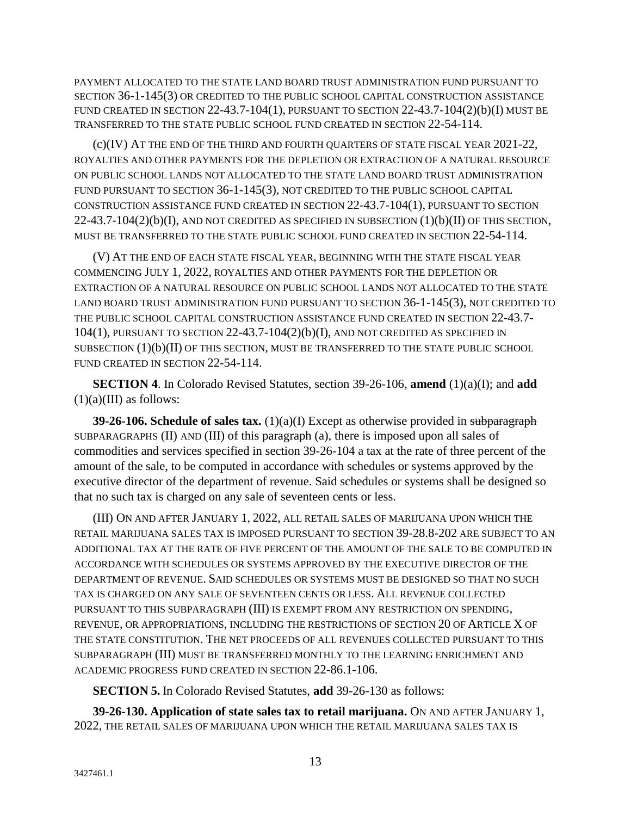PAYMENT ALLOCATED TO THE STATE LAND BOARD TRUST ADMINISTRATION FUND PURSUANT TO SECTION 36-1-145(3) OR CREDITED TO THE PUBLIC SCHOOL CAPITAL CONSTRUCTION ASSISTANCE FUND CREATED IN SECTION 22-43.7-104(1), PURSUANT TO SECTION 22-43.7-104(2)(b)(I) MUST BE TRANSFERRED TO THE STATE PUBLIC SCHOOL FUND CREATED IN SECTION 22-54-114.

(c)(IV) AT THE END OF THE THIRD AND FOURTH QUARTERS OF STATE FISCAL YEAR 2021-22, ROYALTIES AND OTHER PAYMENTS FOR THE DEPLETION OR EXTRACTION OF A NATURAL RESOURCE ON PUBLIC SCHOOL LANDS NOT ALLOCATED TO THE STATE LAND BOARD TRUST ADMINISTRATION FUND PURSUANT TO SECTION 36-1-145(3), NOT CREDITED TO THE PUBLIC SCHOOL CAPITAL CONSTRUCTION ASSISTANCE FUND CREATED IN SECTION 22-43.7-104(1), PURSUANT TO SECTION  $22-43.7-104(2)(b)(I)$ , AND NOT CREDITED AS SPECIFIED IN SUBSECTION  $(1)(b)(II)$  OF THIS SECTION, MUST BE TRANSFERRED TO THE STATE PUBLIC SCHOOL FUND CREATED IN SECTION 22-54-114.

(V) AT THE END OF EACH STATE FISCAL YEAR, BEGINNING WITH THE STATE FISCAL YEAR COMMENCING JULY 1, 2022, ROYALTIES AND OTHER PAYMENTS FOR THE DEPLETION OR EXTRACTION OF A NATURAL RESOURCE ON PUBLIC SCHOOL LANDS NOT ALLOCATED TO THE STATE LAND BOARD TRUST ADMINISTRATION FUND PURSUANT TO SECTION 36-1-145(3), NOT CREDITED TO THE PUBLIC SCHOOL CAPITAL CONSTRUCTION ASSISTANCE FUND CREATED IN SECTION 22-43.7- 104(1), PURSUANT TO SECTION 22-43.7-104(2)(b)(I), AND NOT CREDITED AS SPECIFIED IN SUBSECTION (1)(b)(II) OF THIS SECTION, MUST BE TRANSFERRED TO THE STATE PUBLIC SCHOOL FUND CREATED IN SECTION 22-54-114.

**SECTION 4**. In Colorado Revised Statutes, section 39-26-106, **amend** (1)(a)(I); and **add**  $(1)(a)(III)$  as follows:

**39-26-106. Schedule of sales tax.** (1)(a)(I) Except as otherwise provided in subparagraph SUBPARAGRAPHS (II) AND (III) of this paragraph (a), there is imposed upon all sales of commodities and services specified in section 39-26-104 a tax at the rate of three percent of the amount of the sale, to be computed in accordance with schedules or systems approved by the executive director of the department of revenue. Said schedules or systems shall be designed so that no such tax is charged on any sale of seventeen cents or less.

(III) ON AND AFTER JANUARY 1, 2022, ALL RETAIL SALES OF MARIJUANA UPON WHICH THE RETAIL MARIJUANA SALES TAX IS IMPOSED PURSUANT TO SECTION 39-28.8-202 ARE SUBJECT TO AN ADDITIONAL TAX AT THE RATE OF FIVE PERCENT OF THE AMOUNT OF THE SALE TO BE COMPUTED IN ACCORDANCE WITH SCHEDULES OR SYSTEMS APPROVED BY THE EXECUTIVE DIRECTOR OF THE DEPARTMENT OF REVENUE. SAID SCHEDULES OR SYSTEMS MUST BE DESIGNED SO THAT NO SUCH TAX IS CHARGED ON ANY SALE OF SEVENTEEN CENTS OR LESS. ALL REVENUE COLLECTED PURSUANT TO THIS SUBPARAGRAPH (III) IS EXEMPT FROM ANY RESTRICTION ON SPENDING, REVENUE, OR APPROPRIATIONS, INCLUDING THE RESTRICTIONS OF SECTION 20 OF ARTICLE X OF THE STATE CONSTITUTION. THE NET PROCEEDS OF ALL REVENUES COLLECTED PURSUANT TO THIS SUBPARAGRAPH (III) MUST BE TRANSFERRED MONTHLY TO THE LEARNING ENRICHMENT AND ACADEMIC PROGRESS FUND CREATED IN SECTION 22-86.1-106.

**SECTION 5.** In Colorado Revised Statutes, **add** 39-26-130 as follows:

**39-26-130. Application of state sales tax to retail marijuana.** ON AND AFTER JANUARY 1, 2022, THE RETAIL SALES OF MARIJUANA UPON WHICH THE RETAIL MARIJUANA SALES TAX IS